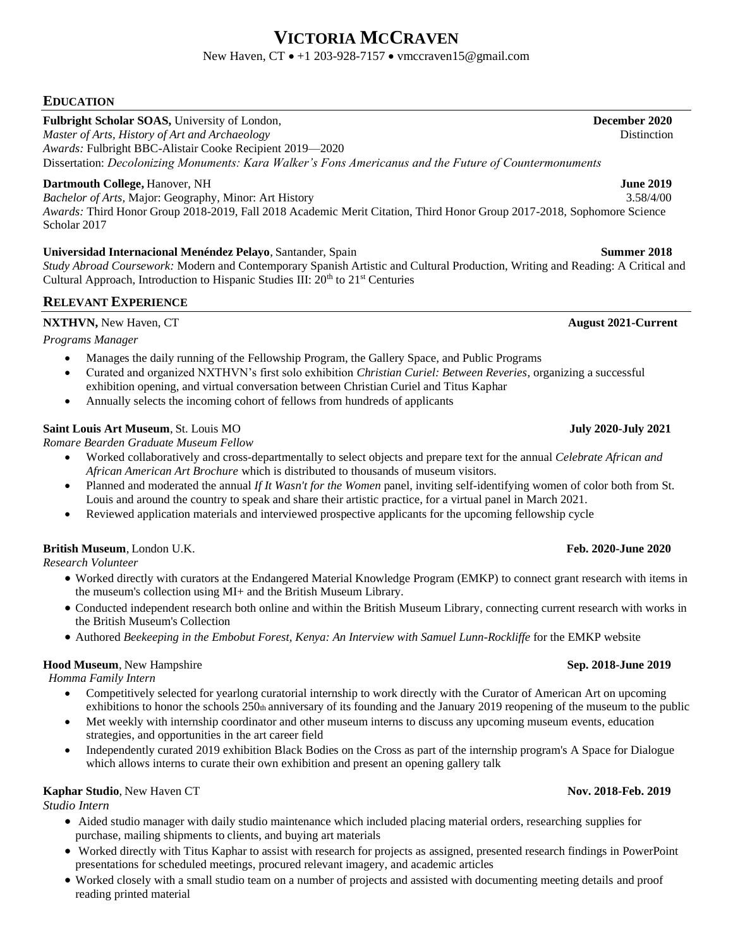# **VICTORIA MCCRAVEN**

## New Haven, CT • +1 203-928-7157 • vmccraven15@gmail.com

## **EDUCATION**

**Fulbright Scholar SOAS,** University of London, **December 2020**

*Master of Arts, History of Art and Archaeology* Distinction *Awards:* Fulbright BBC-Alistair Cooke Recipient 2019—2020 Dissertation: *Decolonizing Monuments: Kara Walker's Fons Americanus and the Future of Countermonuments*

## **Dartmouth College, Hanover, NH** *June 2019*

*Bachelor of Arts,* Major: Geography, Minor: Art History 3.58/4/00 *Awards:* Third Honor Group 2018-2019, Fall 2018 Academic Merit Citation, Third Honor Group 2017-2018, Sophomore Science Scholar 2017

## **Universidad Internacional Menéndez Pelayo**,Santander, Spain **Summer 2018**

*Study Abroad Coursework:* Modern and Contemporary Spanish Artistic and Cultural Production, Writing and Reading: A Critical and Cultural Approach, Introduction to Hispanic Studies III:  $20<sup>th</sup>$  to  $21<sup>st</sup>$  Centuries

## **RELEVANT EXPERIENCE**

## **NXTHVN,** New Haven, CT **August 2021-Current**

*Programs Manager*

- Manages the daily running of the Fellowship Program, the Gallery Space, and Public Programs
- Curated and organized NXTHVN's first solo exhibition *Christian Curiel: Between Reveries*, organizing a successful exhibition opening, and virtual conversation between Christian Curiel and Titus Kaphar
- Annually selects the incoming cohort of fellows from hundreds of applicants

## **Saint Louis Art Museum**,St. Louis MO **July 2020-July 2021**

*Romare Bearden Graduate Museum Fellow*

- Worked collaboratively and cross-departmentally to select objects and prepare text for the annual *Celebrate African and African American Art Brochure* which is distributed to thousands of museum visitors*.*
- Planned and moderated the annual *If It Wasn't for the Women* panel, inviting self-identifying women of color both from St. Louis and around the country to speak and share their artistic practice, for a virtual panel in March 2021.
- Reviewed application materials and interviewed prospective applicants for the upcoming fellowship cycle

## **British Museum**, London U.K. **Feb. 2020-June 2020**

*Research Volunteer*

- Worked directly with curators at the Endangered Material Knowledge Program (EMKP) to connect grant research with items in the museum's collection using MI+ and the British Museum Library.
- Conducted independent research both online and within the British Museum Library, connecting current research with works in the British Museum's Collection
- Authored *Beekeeping in the Embobut Forest, Kenya: An Interview with Samuel Lunn-Rockliffe* for the EMKP website

## **Hood Museum**, New Hampshire **Sep. 2018-June 2019**

*Homma Family Intern* 

- Competitively selected for yearlong curatorial internship to work directly with the Curator of American Art on upcoming exhibitions to honor the schools 250th anniversary of its founding and the January 2019 reopening of the museum to the public
- Met weekly with internship coordinator and other museum interns to discuss any upcoming museum events, education strategies, and opportunities in the art career field
- Independently curated 2019 exhibition Black Bodies on the Cross as part of the internship program's A Space for Dialogue which allows interns to curate their own exhibition and present an opening gallery talk

## **Kaphar Studio**, New Haven CT **Nov. 2018-Feb. 2019**

*Studio Intern*

- Aided studio manager with daily studio maintenance which included placing material orders, researching supplies for purchase, mailing shipments to clients, and buying art materials
- Worked directly with Titus Kaphar to assist with research for projects as assigned, presented research findings in PowerPoint presentations for scheduled meetings, procured relevant imagery, and academic articles
- Worked closely with a small studio team on a number of projects and assisted with documenting meeting details and proof reading printed material